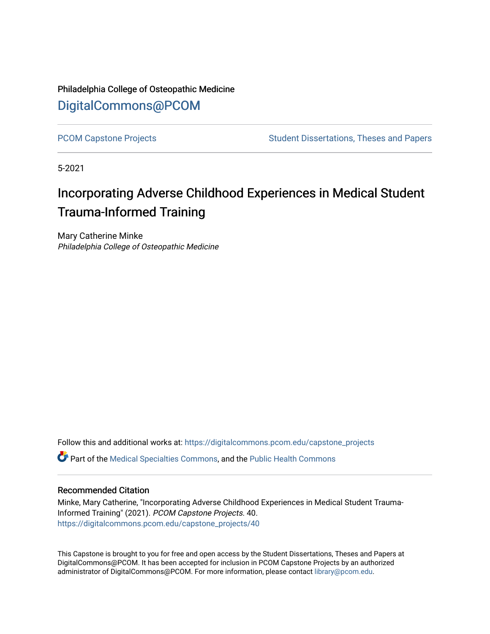Philadelphia College of Osteopathic Medicine [DigitalCommons@PCOM](https://digitalcommons.pcom.edu/) 

[PCOM Capstone Projects](https://digitalcommons.pcom.edu/capstone_projects) **Student Dissertations, Theses and Papers** Student Dissertations, Theses and Papers

5-2021

# Incorporating Adverse Childhood Experiences in Medical Student Trauma-Informed Training

Mary Catherine Minke Philadelphia College of Osteopathic Medicine

Follow this and additional works at: [https://digitalcommons.pcom.edu/capstone\\_projects](https://digitalcommons.pcom.edu/capstone_projects?utm_source=digitalcommons.pcom.edu%2Fcapstone_projects%2F40&utm_medium=PDF&utm_campaign=PDFCoverPages)

Part of the [Medical Specialties Commons](http://network.bepress.com/hgg/discipline/680?utm_source=digitalcommons.pcom.edu%2Fcapstone_projects%2F40&utm_medium=PDF&utm_campaign=PDFCoverPages), and the [Public Health Commons](http://network.bepress.com/hgg/discipline/738?utm_source=digitalcommons.pcom.edu%2Fcapstone_projects%2F40&utm_medium=PDF&utm_campaign=PDFCoverPages) 

### Recommended Citation

Minke, Mary Catherine, "Incorporating Adverse Childhood Experiences in Medical Student Trauma-Informed Training" (2021). PCOM Capstone Projects. 40. [https://digitalcommons.pcom.edu/capstone\\_projects/40](https://digitalcommons.pcom.edu/capstone_projects/40?utm_source=digitalcommons.pcom.edu%2Fcapstone_projects%2F40&utm_medium=PDF&utm_campaign=PDFCoverPages) 

This Capstone is brought to you for free and open access by the Student Dissertations, Theses and Papers at DigitalCommons@PCOM. It has been accepted for inclusion in PCOM Capstone Projects by an authorized administrator of DigitalCommons@PCOM. For more information, please contact [library@pcom.edu.](mailto:library@pcom.edu)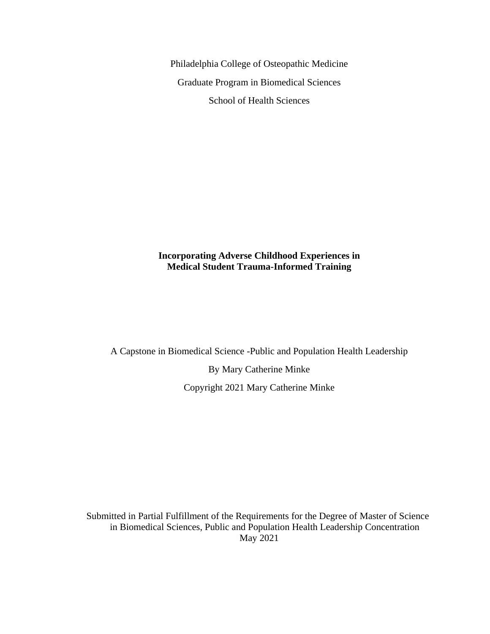Philadelphia College of Osteopathic Medicine Graduate Program in Biomedical Sciences School of Health Sciences

### **Incorporating Adverse Childhood Experiences in Medical Student Trauma-Informed Training**

A Capstone in Biomedical Science -Public and Population Health Leadership

By Mary Catherine Minke Copyright 2021 Mary Catherine Minke

Submitted in Partial Fulfillment of the Requirements for the Degree of Master of Science in Biomedical Sciences, Public and Population Health Leadership Concentration May 2021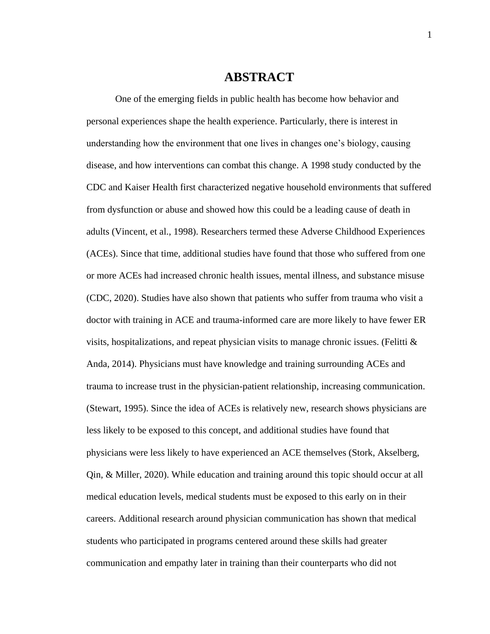## **ABSTRACT**

One of the emerging fields in public health has become how behavior and personal experiences shape the health experience. Particularly, there is interest in understanding how the environment that one lives in changes one's biology, causing disease, and how interventions can combat this change. A 1998 study conducted by the CDC and Kaiser Health first characterized negative household environments that suffered from dysfunction or abuse and showed how this could be a leading cause of death in adults (Vincent, et al., 1998). Researchers termed these Adverse Childhood Experiences (ACEs). Since that time, additional studies have found that those who suffered from one or more ACEs had increased chronic health issues, mental illness, and substance misuse (CDC, 2020). Studies have also shown that patients who suffer from trauma who visit a doctor with training in ACE and trauma-informed care are more likely to have fewer ER visits, hospitalizations, and repeat physician visits to manage chronic issues. (Felitti  $\&$ Anda, 2014). Physicians must have knowledge and training surrounding ACEs and trauma to increase trust in the physician-patient relationship, increasing communication. (Stewart, 1995). Since the idea of ACEs is relatively new, research shows physicians are less likely to be exposed to this concept, and additional studies have found that physicians were less likely to have experienced an ACE themselves (Stork, Akselberg, Qin, & Miller, 2020). While education and training around this topic should occur at all medical education levels, medical students must be exposed to this early on in their careers. Additional research around physician communication has shown that medical students who participated in programs centered around these skills had greater communication and empathy later in training than their counterparts who did not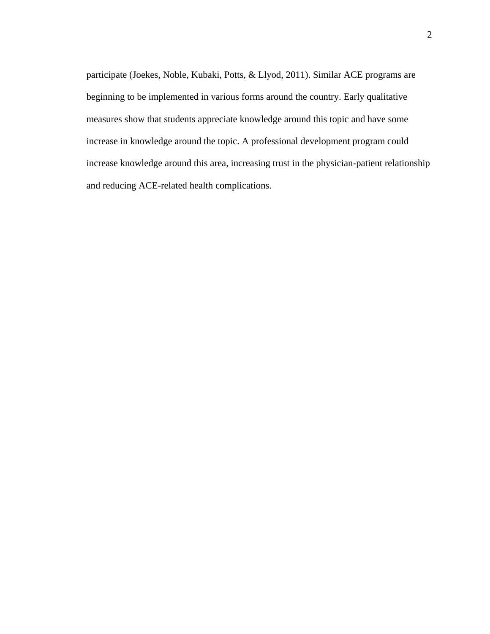participate (Joekes, Noble, Kubaki, Potts, & Llyod, 2011). Similar ACE programs are beginning to be implemented in various forms around the country. Early qualitative measures show that students appreciate knowledge around this topic and have some increase in knowledge around the topic. A professional development program could increase knowledge around this area, increasing trust in the physician-patient relationship and reducing ACE-related health complications.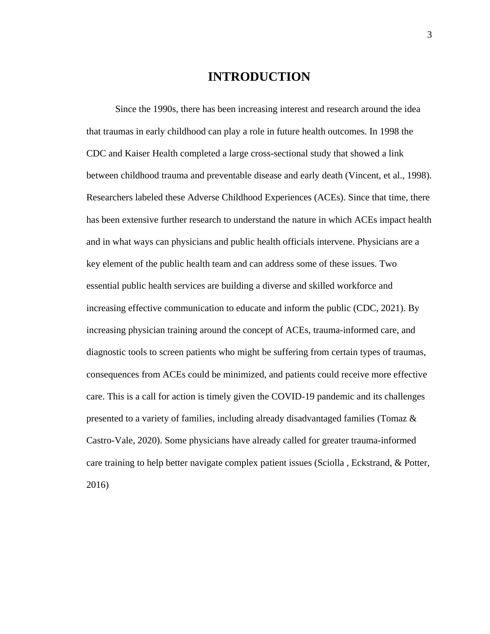# **INTRODUCTION**

Since the 1990s, there has been increasing interest and research around the idea that traumas in early childhood can play a role in future health outcomes. In 1998 the CDC and Kaiser Health completed a large cross-sectional study that showed a link between childhood trauma and preventable disease and early death (Vincent, et al., 1998). Researchers labeled these Adverse Childhood Experiences (ACEs). Since that time, there has been extensive further research to understand the nature in which ACEs impact health and in what ways can physicians and public health officials intervene. Physicians are a key element of the public health team and can address some of these issues. Two essential public health services are building a diverse and skilled workforce and increasing effective communication to educate and inform the public (CDC, 2021). By increasing physician training around the concept of ACEs, trauma-informed care, and diagnostic tools to screen patients who might be suffering from certain types of traumas, consequences from ACEs could be minimized, and patients could receive more effective care. This is a call for action is timely given the COVID-19 pandemic and its challenges presented to a variety of families, including already disadvantaged families (Tomaz & Castro-Vale, 2020). Some physicians have already called for greater trauma-informed care training to help better navigate complex patient issues (Sciolla , Eckstrand, & Potter, 2016)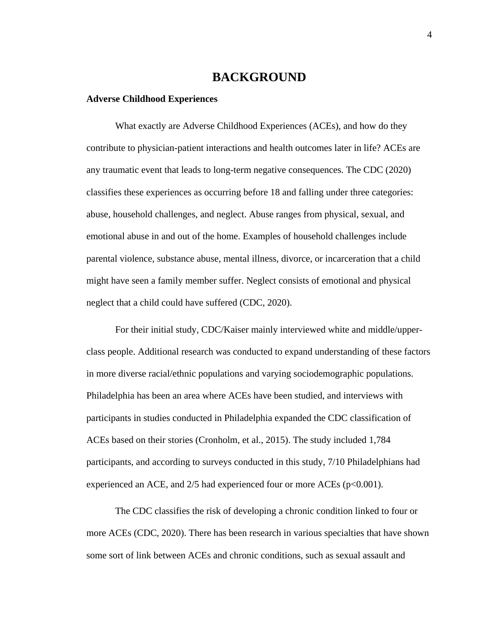# **BACKGROUND**

#### **Adverse Childhood Experiences**

What exactly are Adverse Childhood Experiences (ACEs), and how do they contribute to physician-patient interactions and health outcomes later in life? ACEs are any traumatic event that leads to long-term negative consequences. The CDC (2020) classifies these experiences as occurring before 18 and falling under three categories: abuse, household challenges, and neglect. Abuse ranges from physical, sexual, and emotional abuse in and out of the home. Examples of household challenges include parental violence, substance abuse, mental illness, divorce, or incarceration that a child might have seen a family member suffer. Neglect consists of emotional and physical neglect that a child could have suffered (CDC, 2020).

For their initial study, CDC/Kaiser mainly interviewed white and middle/upperclass people. Additional research was conducted to expand understanding of these factors in more diverse racial/ethnic populations and varying sociodemographic populations. Philadelphia has been an area where ACEs have been studied, and interviews with participants in studies conducted in Philadelphia expanded the CDC classification of ACEs based on their stories (Cronholm, et al., 2015). The study included 1,784 participants, and according to surveys conducted in this study, 7/10 Philadelphians had experienced an ACE, and 2/5 had experienced four or more ACEs (p<0.001).

The CDC classifies the risk of developing a chronic condition linked to four or more ACEs (CDC, 2020). There has been research in various specialties that have shown some sort of link between ACEs and chronic conditions, such as sexual assault and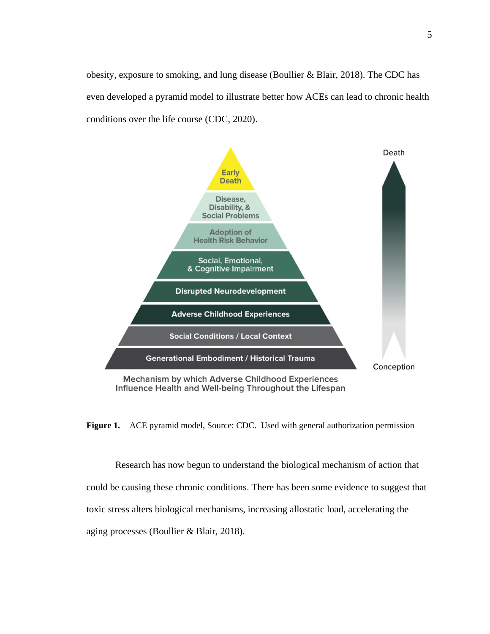obesity, exposure to smoking, and lung disease (Boullier & Blair, 2018). The CDC has even developed a pyramid model to illustrate better how ACEs can lead to chronic health conditions over the life course (CDC, 2020).



Influence Health and Well-being Throughout the Lifespan

**Figure 1.** ACE pyramid model, Source: CDC. Used with general authorization permission

Research has now begun to understand the biological mechanism of action that could be causing these chronic conditions. There has been some evidence to suggest that toxic stress alters biological mechanisms, increasing allostatic load, accelerating the aging processes (Boullier & Blair, 2018).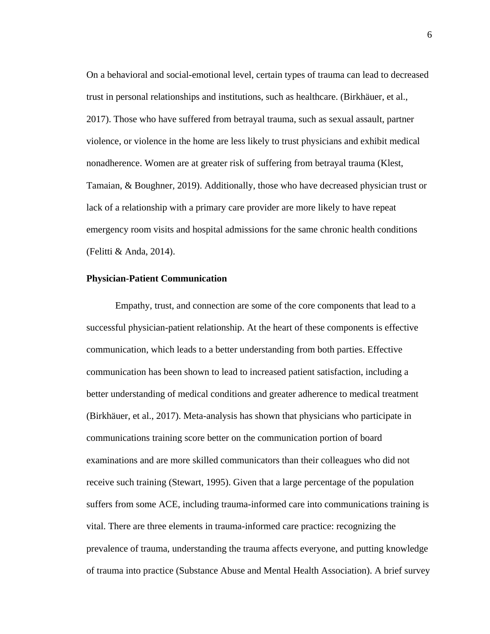On a behavioral and social-emotional level, certain types of trauma can lead to decreased trust in personal relationships and institutions, such as healthcare. (Birkhäuer, et al., 2017). Those who have suffered from betrayal trauma, such as sexual assault, partner violence, or violence in the home are less likely to trust physicians and exhibit medical nonadherence. Women are at greater risk of suffering from betrayal trauma (Klest, Tamaian, & Boughner, 2019). Additionally, those who have decreased physician trust or lack of a relationship with a primary care provider are more likely to have repeat emergency room visits and hospital admissions for the same chronic health conditions (Felitti & Anda, 2014).

#### **Physician-Patient Communication**

Empathy, trust, and connection are some of the core components that lead to a successful physician-patient relationship. At the heart of these components is effective communication, which leads to a better understanding from both parties. Effective communication has been shown to lead to increased patient satisfaction, including a better understanding of medical conditions and greater adherence to medical treatment (Birkhäuer, et al., 2017). Meta-analysis has shown that physicians who participate in communications training score better on the communication portion of board examinations and are more skilled communicators than their colleagues who did not receive such training (Stewart, 1995). Given that a large percentage of the population suffers from some ACE, including trauma-informed care into communications training is vital. There are three elements in trauma-informed care practice: recognizing the prevalence of trauma, understanding the trauma affects everyone, and putting knowledge of trauma into practice (Substance Abuse and Mental Health Association). A brief survey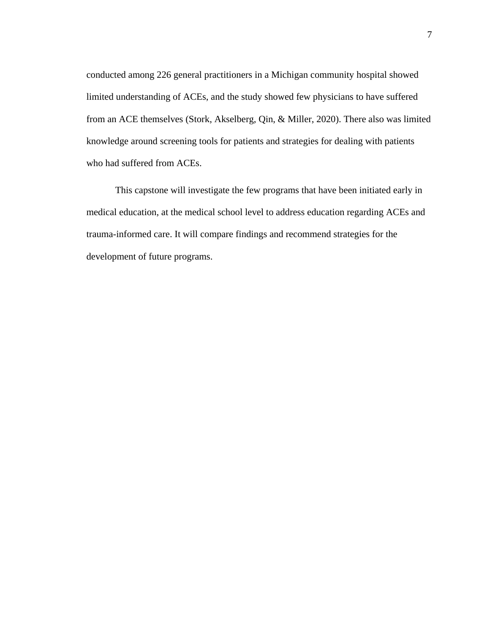conducted among 226 general practitioners in a Michigan community hospital showed limited understanding of ACEs, and the study showed few physicians to have suffered from an ACE themselves (Stork, Akselberg, Qin, & Miller, 2020). There also was limited knowledge around screening tools for patients and strategies for dealing with patients who had suffered from ACEs.

This capstone will investigate the few programs that have been initiated early in medical education, at the medical school level to address education regarding ACEs and trauma-informed care. It will compare findings and recommend strategies for the development of future programs.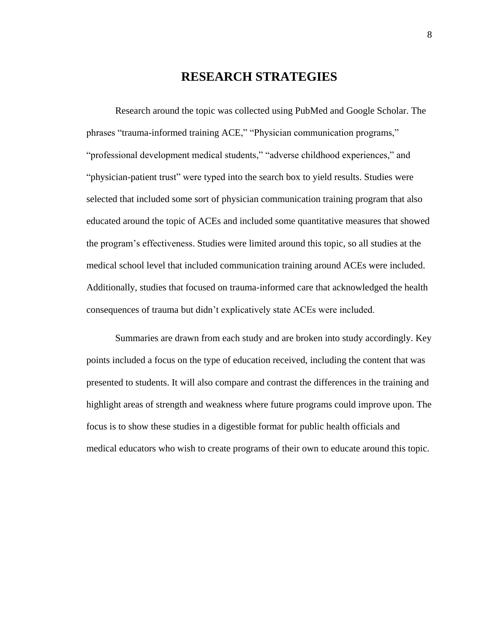# **RESEARCH STRATEGIES**

Research around the topic was collected using PubMed and Google Scholar. The phrases "trauma-informed training ACE," "Physician communication programs," "professional development medical students," "adverse childhood experiences," and "physician-patient trust" were typed into the search box to yield results. Studies were selected that included some sort of physician communication training program that also educated around the topic of ACEs and included some quantitative measures that showed the program's effectiveness. Studies were limited around this topic, so all studies at the medical school level that included communication training around ACEs were included. Additionally, studies that focused on trauma-informed care that acknowledged the health consequences of trauma but didn't explicatively state ACEs were included.

Summaries are drawn from each study and are broken into study accordingly. Key points included a focus on the type of education received, including the content that was presented to students. It will also compare and contrast the differences in the training and highlight areas of strength and weakness where future programs could improve upon. The focus is to show these studies in a digestible format for public health officials and medical educators who wish to create programs of their own to educate around this topic.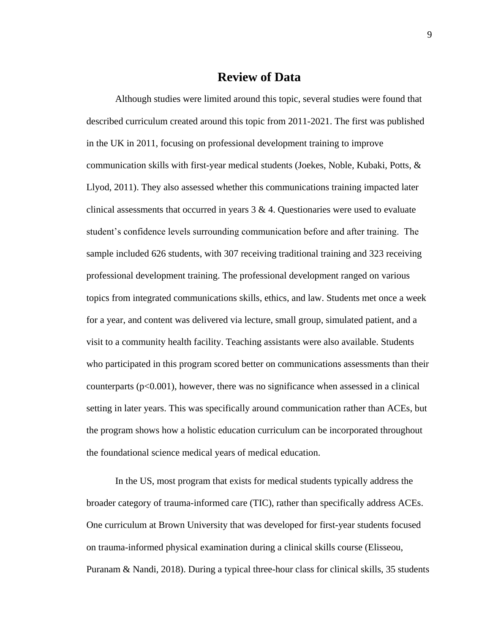# **Review of Data**

Although studies were limited around this topic, several studies were found that described curriculum created around this topic from 2011-2021. The first was published in the UK in 2011, focusing on professional development training to improve communication skills with first-year medical students (Joekes, Noble, Kubaki, Potts, & Llyod, 2011). They also assessed whether this communications training impacted later clinical assessments that occurred in years  $3 \& 4$ . Questionaries were used to evaluate student's confidence levels surrounding communication before and after training. The sample included 626 students, with 307 receiving traditional training and 323 receiving professional development training. The professional development ranged on various topics from integrated communications skills, ethics, and law. Students met once a week for a year, and content was delivered via lecture, small group, simulated patient, and a visit to a community health facility. Teaching assistants were also available. Students who participated in this program scored better on communications assessments than their counterparts  $(p<0.001)$ , however, there was no significance when assessed in a clinical setting in later years. This was specifically around communication rather than ACEs, but the program shows how a holistic education curriculum can be incorporated throughout the foundational science medical years of medical education.

In the US, most program that exists for medical students typically address the broader category of trauma-informed care (TIC), rather than specifically address ACEs. One curriculum at Brown University that was developed for first-year students focused on trauma-informed physical examination during a clinical skills course (Elisseou, Puranam & Nandi, 2018). During a typical three-hour class for clinical skills, 35 students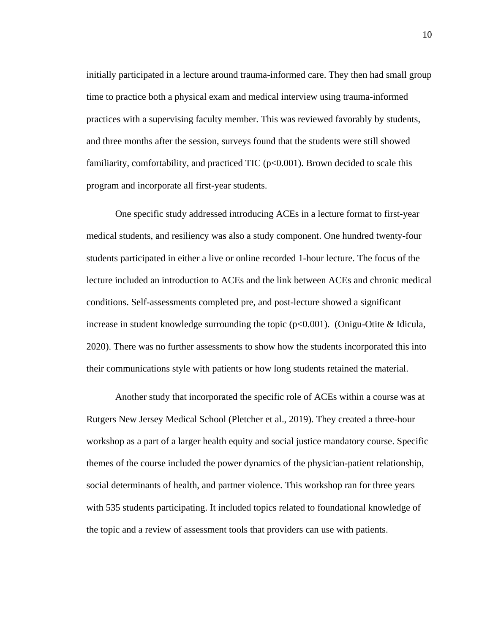initially participated in a lecture around trauma-informed care. They then had small group time to practice both a physical exam and medical interview using trauma-informed practices with a supervising faculty member. This was reviewed favorably by students, and three months after the session, surveys found that the students were still showed familiarity, comfortability, and practiced TIC  $(p<0.001)$ . Brown decided to scale this program and incorporate all first-year students.

One specific study addressed introducing ACEs in a lecture format to first-year medical students, and resiliency was also a study component. One hundred twenty-four students participated in either a live or online recorded 1-hour lecture. The focus of the lecture included an introduction to ACEs and the link between ACEs and chronic medical conditions. Self-assessments completed pre, and post-lecture showed a significant increase in student knowledge surrounding the topic  $(p<0.001)$ . (Onigu-Otite & Idicula, 2020). There was no further assessments to show how the students incorporated this into their communications style with patients or how long students retained the material.

Another study that incorporated the specific role of ACEs within a course was at Rutgers New Jersey Medical School (Pletcher et al., 2019). They created a three-hour workshop as a part of a larger health equity and social justice mandatory course. Specific themes of the course included the power dynamics of the physician-patient relationship, social determinants of health, and partner violence. This workshop ran for three years with 535 students participating. It included topics related to foundational knowledge of the topic and a review of assessment tools that providers can use with patients.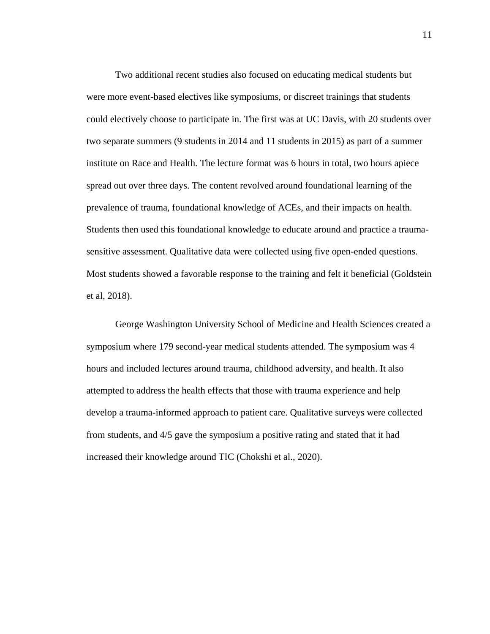Two additional recent studies also focused on educating medical students but were more event-based electives like symposiums, or discreet trainings that students could electively choose to participate in. The first was at UC Davis, with 20 students over two separate summers (9 students in 2014 and 11 students in 2015) as part of a summer institute on Race and Health. The lecture format was 6 hours in total, two hours apiece spread out over three days. The content revolved around foundational learning of the prevalence of trauma, foundational knowledge of ACEs, and their impacts on health. Students then used this foundational knowledge to educate around and practice a traumasensitive assessment. Qualitative data were collected using five open-ended questions. Most students showed a favorable response to the training and felt it beneficial (Goldstein et al, 2018).

George Washington University School of Medicine and Health Sciences created a symposium where 179 second-year medical students attended. The symposium was 4 hours and included lectures around trauma, childhood adversity, and health. It also attempted to address the health effects that those with trauma experience and help develop a trauma-informed approach to patient care. Qualitative surveys were collected from students, and 4/5 gave the symposium a positive rating and stated that it had increased their knowledge around TIC (Chokshi et al., 2020).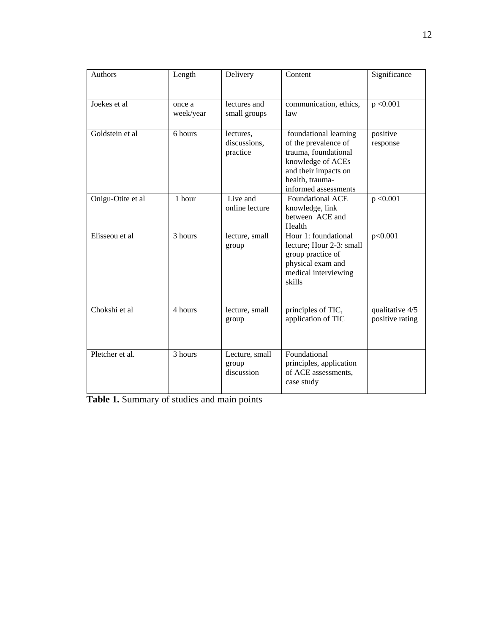| <b>Authors</b>    | Length              | Delivery                              | Content                                                                                                                                                       | Significance                       |
|-------------------|---------------------|---------------------------------------|---------------------------------------------------------------------------------------------------------------------------------------------------------------|------------------------------------|
| Joekes et al      | once a<br>week/year | lectures and<br>small groups          | communication, ethics,<br>law                                                                                                                                 | p < 0.001                          |
| Goldstein et al   | 6 hours             | lectures,<br>discussions,<br>practice | foundational learning<br>of the prevalence of<br>trauma, foundational<br>knowledge of ACEs<br>and their impacts on<br>health, trauma-<br>informed assessments | positive<br>response               |
| Onigu-Otite et al | 1 hour              | Live and<br>online lecture            | <b>Foundational ACE</b><br>knowledge, link<br>between ACE and<br>Health                                                                                       | p < 0.001                          |
| Elisseou et al    | 3 hours             | lecture, small<br>group               | Hour 1: foundational<br>lecture; Hour 2-3: small<br>group practice of<br>physical exam and<br>medical interviewing<br>skills                                  | p<0.001                            |
| Chokshi et al     | 4 hours             | lecture, small<br>group               | principles of TIC,<br>application of TIC                                                                                                                      | qualitative 4/5<br>positive rating |
| Pletcher et al.   | 3 hours             | Lecture, small<br>group<br>discussion | Foundational<br>principles, application<br>of ACE assessments,<br>case study                                                                                  |                                    |

**Table 1.** Summary of studies and main points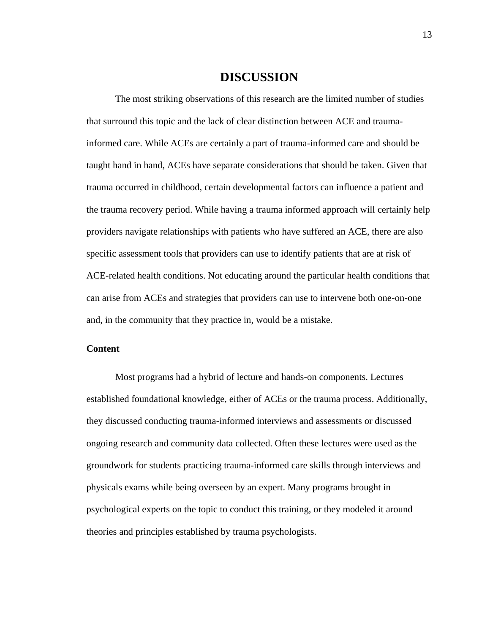### **DISCUSSION**

The most striking observations of this research are the limited number of studies that surround this topic and the lack of clear distinction between ACE and traumainformed care. While ACEs are certainly a part of trauma-informed care and should be taught hand in hand, ACEs have separate considerations that should be taken. Given that trauma occurred in childhood, certain developmental factors can influence a patient and the trauma recovery period. While having a trauma informed approach will certainly help providers navigate relationships with patients who have suffered an ACE, there are also specific assessment tools that providers can use to identify patients that are at risk of ACE-related health conditions. Not educating around the particular health conditions that can arise from ACEs and strategies that providers can use to intervene both one-on-one and, in the community that they practice in, would be a mistake.

### **Content**

Most programs had a hybrid of lecture and hands-on components. Lectures established foundational knowledge, either of ACEs or the trauma process. Additionally, they discussed conducting trauma-informed interviews and assessments or discussed ongoing research and community data collected. Often these lectures were used as the groundwork for students practicing trauma-informed care skills through interviews and physicals exams while being overseen by an expert. Many programs brought in psychological experts on the topic to conduct this training, or they modeled it around theories and principles established by trauma psychologists.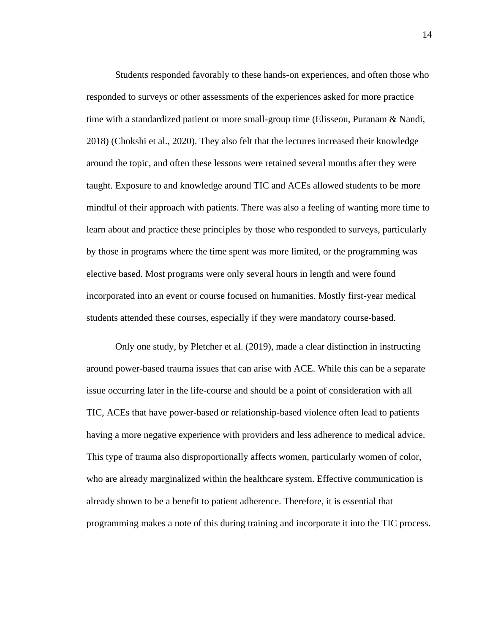Students responded favorably to these hands-on experiences, and often those who responded to surveys or other assessments of the experiences asked for more practice time with a standardized patient or more small-group time (Elisseou, Puranam & Nandi, 2018) (Chokshi et al., 2020). They also felt that the lectures increased their knowledge around the topic, and often these lessons were retained several months after they were taught. Exposure to and knowledge around TIC and ACEs allowed students to be more mindful of their approach with patients. There was also a feeling of wanting more time to learn about and practice these principles by those who responded to surveys, particularly by those in programs where the time spent was more limited, or the programming was elective based. Most programs were only several hours in length and were found incorporated into an event or course focused on humanities. Mostly first-year medical students attended these courses, especially if they were mandatory course-based.

Only one study, by Pletcher et al. (2019), made a clear distinction in instructing around power-based trauma issues that can arise with ACE. While this can be a separate issue occurring later in the life-course and should be a point of consideration with all TIC, ACEs that have power-based or relationship-based violence often lead to patients having a more negative experience with providers and less adherence to medical advice. This type of trauma also disproportionally affects women, particularly women of color, who are already marginalized within the healthcare system. Effective communication is already shown to be a benefit to patient adherence. Therefore, it is essential that programming makes a note of this during training and incorporate it into the TIC process.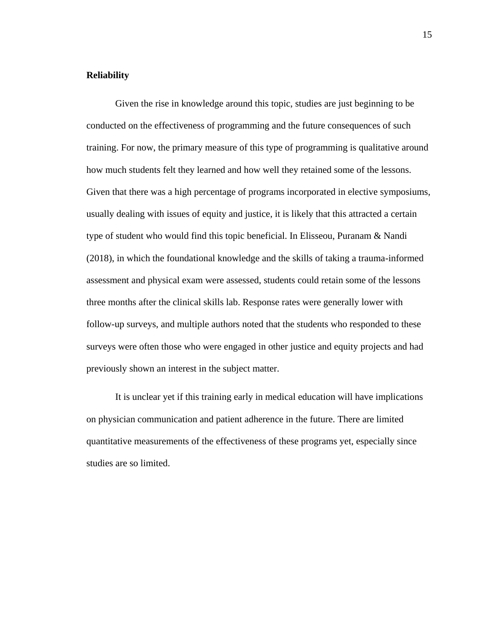### **Reliability**

Given the rise in knowledge around this topic, studies are just beginning to be conducted on the effectiveness of programming and the future consequences of such training. For now, the primary measure of this type of programming is qualitative around how much students felt they learned and how well they retained some of the lessons. Given that there was a high percentage of programs incorporated in elective symposiums, usually dealing with issues of equity and justice, it is likely that this attracted a certain type of student who would find this topic beneficial. In Elisseou, Puranam & Nandi (2018), in which the foundational knowledge and the skills of taking a trauma-informed assessment and physical exam were assessed, students could retain some of the lessons three months after the clinical skills lab. Response rates were generally lower with follow-up surveys, and multiple authors noted that the students who responded to these surveys were often those who were engaged in other justice and equity projects and had previously shown an interest in the subject matter.

It is unclear yet if this training early in medical education will have implications on physician communication and patient adherence in the future. There are limited quantitative measurements of the effectiveness of these programs yet, especially since studies are so limited.

15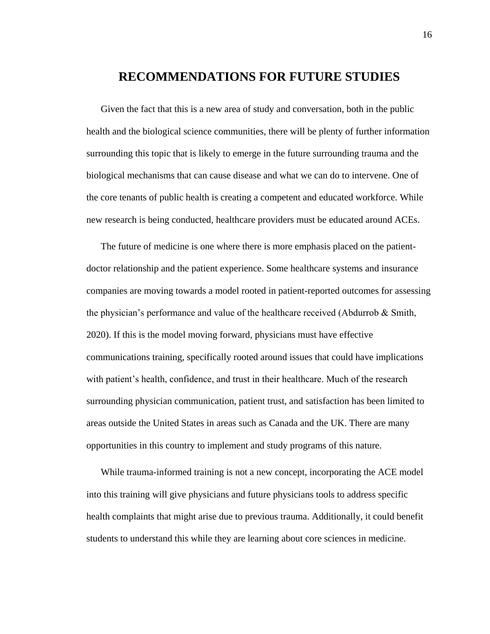# **RECOMMENDATIONS FOR FUTURE STUDIES**

Given the fact that this is a new area of study and conversation, both in the public health and the biological science communities, there will be plenty of further information surrounding this topic that is likely to emerge in the future surrounding trauma and the biological mechanisms that can cause disease and what we can do to intervene. One of the core tenants of public health is creating a competent and educated workforce. While new research is being conducted, healthcare providers must be educated around ACEs.

The future of medicine is one where there is more emphasis placed on the patientdoctor relationship and the patient experience. Some healthcare systems and insurance companies are moving towards a model rooted in patient-reported outcomes for assessing the physician's performance and value of the healthcare received (Abdurrob & Smith, 2020). If this is the model moving forward, physicians must have effective communications training, specifically rooted around issues that could have implications with patient's health, confidence, and trust in their healthcare. Much of the research surrounding physician communication, patient trust, and satisfaction has been limited to areas outside the United States in areas such as Canada and the UK. There are many opportunities in this country to implement and study programs of this nature.

While trauma-informed training is not a new concept, incorporating the ACE model into this training will give physicians and future physicians tools to address specific health complaints that might arise due to previous trauma. Additionally, it could benefit students to understand this while they are learning about core sciences in medicine.

16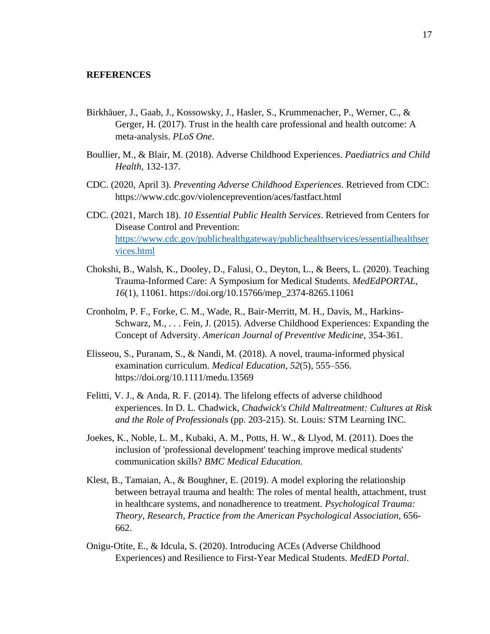#### **REFERENCES**

- Birkhäuer, J., Gaab, J., Kossowsky, J., Hasler, S., Krummenacher, P., Werner, C., & Gerger, H. (2017). Trust in the health care professional and health outcome: A meta-analysis. *PLoS One*.
- Boullier, M., & Blair, M. (2018). Adverse Childhood Experiences. *Paediatrics and Child Health*, 132-137.
- CDC. (2020, April 3). *Preventing Adverse Childhood Experiences*. Retrieved from CDC: https://www.cdc.gov/violenceprevention/aces/fastfact.html
- CDC. (2021, March 18). *10 Essential Public Health Services*. Retrieved from Centers for Disease Control and Prevention: [https://www.cdc.gov/publichealthgateway/publichealthservices/essentialhealthser](https://www.cdc.gov/publichealthgateway/publichealthservices/essentialhealthservices.html) [vices.html](https://www.cdc.gov/publichealthgateway/publichealthservices/essentialhealthservices.html)
- Chokshi, B., Walsh, K., Dooley, D., Falusi, O., Deyton, L., & Beers, L. (2020). Teaching Trauma-Informed Care: A Symposium for Medical Students. *MedEdPORTAL*, *16*(1), 11061. https://doi.org/10.15766/mep\_2374-8265.11061
- Cronholm, P. F., Forke, C. M., Wade, R., Bair-Merritt, M. H., Davis, M., Harkins-Schwarz, M., . . . Fein, J. (2015). Adverse Childhood Experiences: Expanding the Concept of Adversity. *American Journal of Preventive Medicine*, 354-361.
- Elisseou, S., Puranam, S., & Nandi, M. (2018). A novel, trauma-informed physical examination curriculum. *Medical Education*, *52*(5), 555–556. https://doi.org/10.1111/medu.13569
- Felitti, V. J., & Anda, R. F. (2014). The lifelong effects of adverse childhood experiences. In D. L. Chadwick, *Chadwick's Child Maltreatment: Cultures at Risk and the Role of Professionals* (pp. 203-215). St. Louis: STM Learning INC.
- Joekes, K., Noble, L. M., Kubaki, A. M., Potts, H. W., & Llyod, M. (2011). Does the inclusion of 'professional development' teaching improve medical students' communication skills? *BMC Medical Education*.
- Klest, B., Tamaian, A., & Boughner, E. (2019). A model exploring the relationship between betrayal trauma and health: The roles of mental health, attachment, trust in healthcare systems, and nonadherence to treatment. *Psychological Trauma: Theory, Research, Practice from the American Psychological Association*, 656- 662.
- Onigu-Otite, E., & Idcula, S. (2020). Introducing ACEs (Adverse Childhood Experiences) and Resilience to First-Year Medical Students. *MedED Portal*.